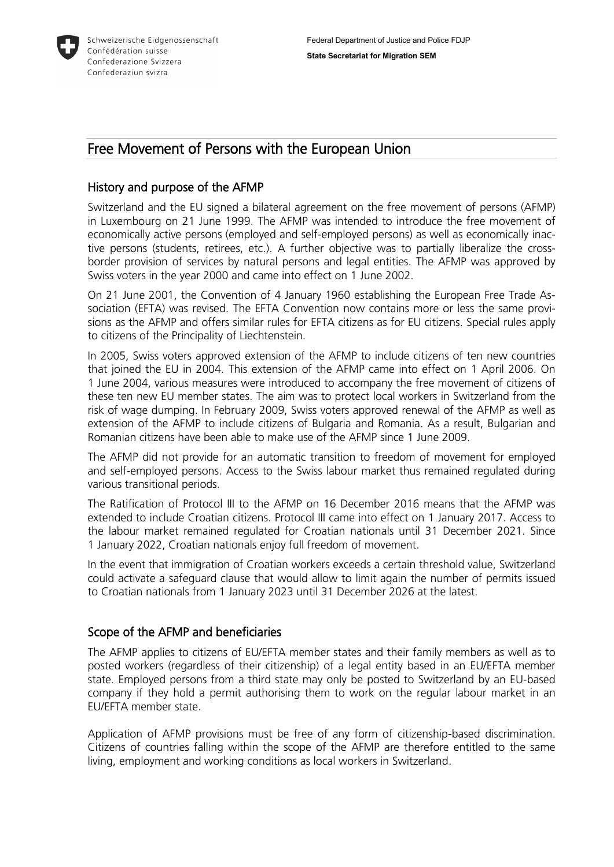

# Free Movement of Persons with the European Union

## History and purpose of the AFMP

Switzerland and the EU signed a bilateral agreement on the free movement of persons (AFMP) in Luxembourg on 21 June 1999. The AFMP was intended to introduce the free movement of economically active persons (employed and self-employed persons) as well as economically inactive persons (students, retirees, etc.). A further objective was to partially liberalize the crossborder provision of services by natural persons and legal entities. The AFMP was approved by Swiss voters in the year 2000 and came into effect on 1 June 2002.

On 21 June 2001, the Convention of 4 January 1960 establishing the European Free Trade Association (EFTA) was revised. The EFTA Convention now contains more or less the same provisions as the AFMP and offers similar rules for EFTA citizens as for EU citizens. Special rules apply to citizens of the Principality of Liechtenstein.

In 2005, Swiss voters approved extension of the AFMP to include citizens of ten new countries that joined the EU in 2004. This extension of the AFMP came into effect on 1 April 2006. On 1 June 2004, various measures were introduced to accompany the free movement of citizens of these ten new EU member states. The aim was to protect local workers in Switzerland from the risk of wage dumping. In February 2009, Swiss voters approved renewal of the AFMP as well as extension of the AFMP to include citizens of Bulgaria and Romania. As a result, Bulgarian and Romanian citizens have been able to make use of the AFMP since 1 June 2009.

The AFMP did not provide for an automatic transition to freedom of movement for employed and self-employed persons. Access to the Swiss labour market thus remained regulated during various transitional periods.

The Ratification of Protocol III to the AFMP on 16 December 2016 means that the AFMP was extended to include Croatian citizens. Protocol III came into effect on 1 January 2017. Access to the labour market remained regulated for Croatian nationals until 31 December 2021. Since 1 January 2022, Croatian nationals enjoy full freedom of movement.

In the event that immigration of Croatian workers exceeds a certain threshold value, Switzerland could activate a safeguard clause that would allow to limit again the number of permits issued to Croatian nationals from 1 January 2023 until 31 December 2026 at the latest.

#### Scope of the AFMP and beneficiaries

The AFMP applies to citizens of EU/EFTA member states and their family members as well as to posted workers (regardless of their citizenship) of a legal entity based in an EU/EFTA member state. Employed persons from a third state may only be posted to Switzerland by an EU-based company if they hold a permit authorising them to work on the regular labour market in an EU/EFTA member state.

Application of AFMP provisions must be free of any form of citizenship-based discrimination. Citizens of countries falling within the scope of the AFMP are therefore entitled to the same living, employment and working conditions as local workers in Switzerland.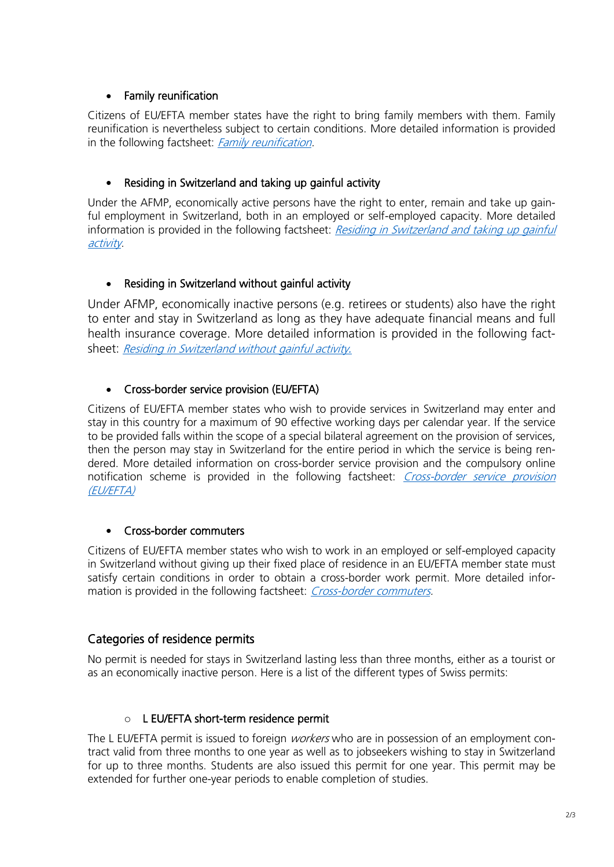#### • Family reunification

Citizens of EU/EFTA member states have the right to bring family members with them. Family reunification is nevertheless subject to certain conditions. More detailed information is provided in the following factsheet: [Family reunification.](https://www.sem.admin.ch/sem/en/home/themen/fza_schweiz-eu-efta/eu-efta_buerger_schweiz/factsheets.html)

#### • Residing in Switzerland and taking up gainful activity

Under the AFMP, economically active persons have the right to enter, remain and take up gainful employment in Switzerland, both in an employed or self-employed capacity. More detailed information is provided in the following factsheet: Residing in Switzerland and taking up gainful [activity](https://www.sem.admin.ch/sem/en/home/themen/fza_schweiz-eu-efta/eu-efta_buerger_schweiz/factsheets.html).

## • Residing in Switzerland without gainful activity

Under AFMP, economically inactive persons (e.g. retirees or students) also have the right to enter and stay in Switzerland as long as they have adequate financial means and full health insurance coverage. More detailed information is provided in the following factsheet: [Residing in Switzerland without gainful activity](https://www.sem.admin.ch/sem/en/home/themen/fza_schweiz-eu-efta/meldeverfahren/ref_factsheets.html)*.*

## • Cross-border service provision (EU/EFTA)

Citizens of EU/EFTA member states who wish to provide services in Switzerland may enter and stay in this country for a maximum of 90 effective working days per calendar year. If the service to be provided falls within the scope of a special bilateral agreement on the provision of services, then the person may stay in Switzerland for the entire period in which the service is being rendered. More detailed information on cross-border service provision and the compulsory online notification scheme is provided in the following factsheet: *Cross-border service provision* [\(EU/EFTA\)](https://www.sem.admin.ch/sem/en/home/themen/fza_schweiz-eu-efta/eu-efta_buerger_schweiz/factsheets.html) 

#### • Cross-border commuters

Citizens of EU/EFTA member states who wish to work in an employed or self-employed capacity in Switzerland without giving up their fixed place of residence in an EU/EFTA member state must satisfy certain conditions in order to obtain a cross-border work permit. More detailed information is provided in the following factsheet: *Cross-border commuters*.

## Categories of residence permits

No permit is needed for stays in Switzerland lasting less than three months, either as a tourist or as an economically inactive person. Here is a list of the different types of Swiss permits:

#### o L EU/EFTA short-term residence permit

The L EU/EFTA permit is issued to foreign *workers* who are in possession of an employment contract valid from three months to one year as well as to jobseekers wishing to stay in Switzerland for up to three months. Students are also issued this permit for one year. This permit may be extended for further one-year periods to enable completion of studies.